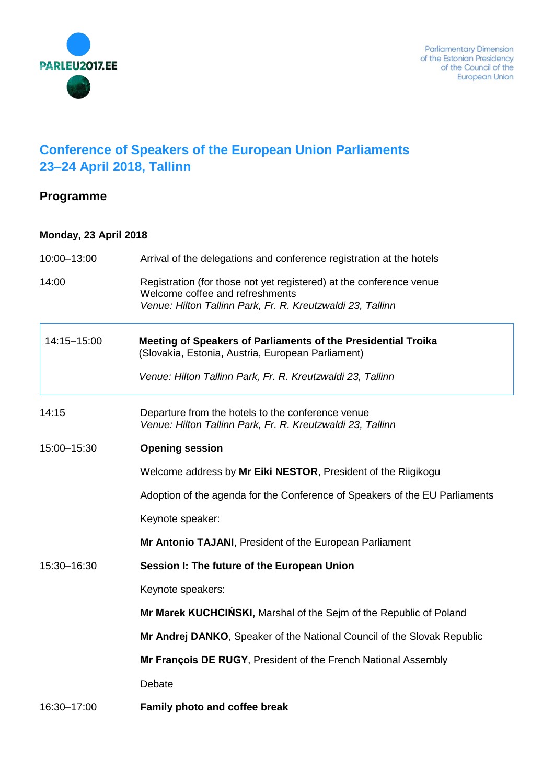

## **Conference of Speakers of the European Union Parliaments 23–24 April 2018, Tallinn**

## **Programme**

## **Monday, 23 April 2018**

| 10:00-13:00 | Arrival of the delegations and conference registration at the hotels                                                                                                 |
|-------------|----------------------------------------------------------------------------------------------------------------------------------------------------------------------|
| 14:00       | Registration (for those not yet registered) at the conference venue<br>Welcome coffee and refreshments<br>Venue: Hilton Tallinn Park, Fr. R. Kreutzwaldi 23, Tallinn |
| 14:15-15:00 | Meeting of Speakers of Parliaments of the Presidential Troika<br>(Slovakia, Estonia, Austria, European Parliament)                                                   |
|             | Venue: Hilton Tallinn Park, Fr. R. Kreutzwaldi 23, Tallinn                                                                                                           |
| 14:15       | Departure from the hotels to the conference venue<br>Venue: Hilton Tallinn Park, Fr. R. Kreutzwaldi 23, Tallinn                                                      |
| 15:00-15:30 | <b>Opening session</b>                                                                                                                                               |
|             | Welcome address by Mr Eiki NESTOR, President of the Riigikogu                                                                                                        |
|             | Adoption of the agenda for the Conference of Speakers of the EU Parliaments                                                                                          |
|             | Keynote speaker:                                                                                                                                                     |
|             | Mr Antonio TAJANI, President of the European Parliament                                                                                                              |
| 15:30-16:30 | Session I: The future of the European Union                                                                                                                          |
|             | Keynote speakers:                                                                                                                                                    |
|             | Mr Marek KUCHCINSKI, Marshal of the Sejm of the Republic of Poland                                                                                                   |
|             | Mr Andrej DANKO, Speaker of the National Council of the Slovak Republic                                                                                              |
|             | Mr François DE RUGY, President of the French National Assembly                                                                                                       |
|             | Debate                                                                                                                                                               |
| 16:30-17:00 | Family photo and coffee break                                                                                                                                        |